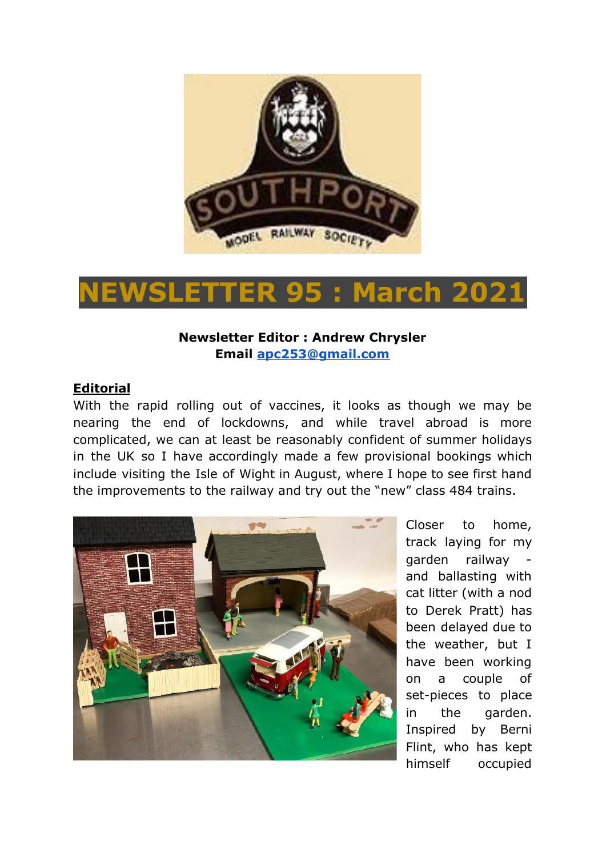

# **NEWSLETTER 95 : March 2021**

### **Newsletter Editor : Andrew Chrysler Email [apc253@gmail.com](mailto:apc253@gmail.com)**

#### **Editorial**

With the rapid rolling out of vaccines, it looks as though we may be nearing the end of lockdowns, and while travel abroad is more complicated, we can at least be reasonably confident of summer holidays in the UK so I have accordingly made a few provisional bookings which include visiting the Isle of Wight in August, where I hope to see first hand the improvements to the railway and try out the "new" class 484 trains.



Closer to home, track laying for my garden railway and ballasting with cat litter (with a nod to Derek Pratt) has been delayed due to the weather, but I have been working on a couple of set-pieces to place in the garden. Inspired by Berni Flint, who has kept himself occupied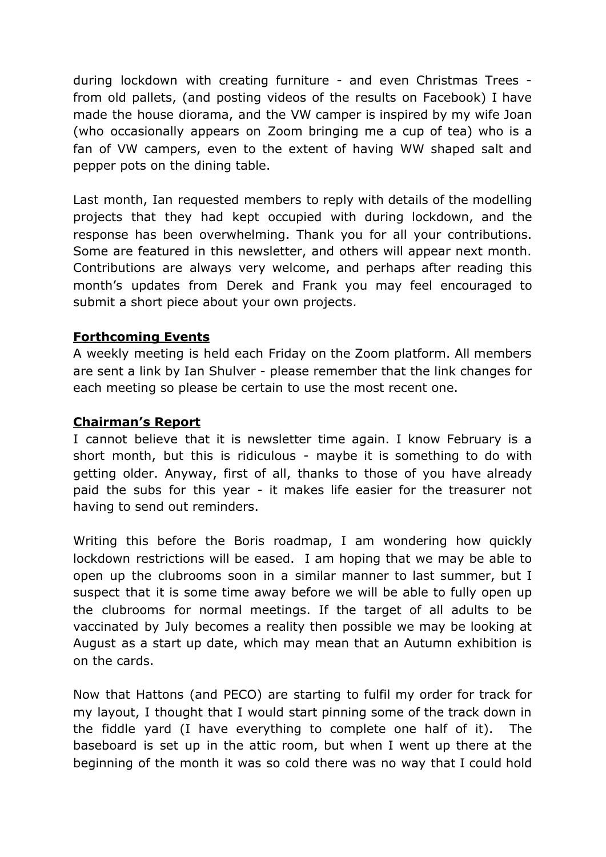during lockdown with creating furniture - and even Christmas Trees from old pallets, (and posting videos of the results on Facebook) I have made the house diorama, and the VW camper is inspired by my wife Joan (who occasionally appears on Zoom bringing me a cup of tea) who is a fan of VW campers, even to the extent of having WW shaped salt and pepper pots on the dining table.

Last month, Ian requested members to reply with details of the modelling projects that they had kept occupied with during lockdown, and the response has been overwhelming. Thank you for all your contributions. Some are featured in this newsletter, and others will appear next month. Contributions are always very welcome, and perhaps after reading this month's updates from Derek and Frank you may feel encouraged to submit a short piece about your own projects.

#### **Forthcoming Events**

A weekly meeting is held each Friday on the Zoom platform. All members are sent a link by Ian Shulver - please remember that the link changes for each meeting so please be certain to use the most recent one.

#### **Chairman's Report**

I cannot believe that it is newsletter time again. I know February is a short month, but this is ridiculous - maybe it is something to do with getting older. Anyway, first of all, thanks to those of you have already paid the subs for this year - it makes life easier for the treasurer not having to send out reminders.

Writing this before the Boris roadmap, I am wondering how quickly lockdown restrictions will be eased. I am hoping that we may be able to open up the clubrooms soon in a similar manner to last summer, but I suspect that it is some time away before we will be able to fully open up the clubrooms for normal meetings. If the target of all adults to be vaccinated by July becomes a reality then possible we may be looking at August as a start up date, which may mean that an Autumn exhibition is on the cards.

Now that Hattons (and PECO) are starting to fulfil my order for track for my layout, I thought that I would start pinning some of the track down in the fiddle yard (I have everything to complete one half of it). The baseboard is set up in the attic room, but when I went up there at the beginning of the month it was so cold there was no way that I could hold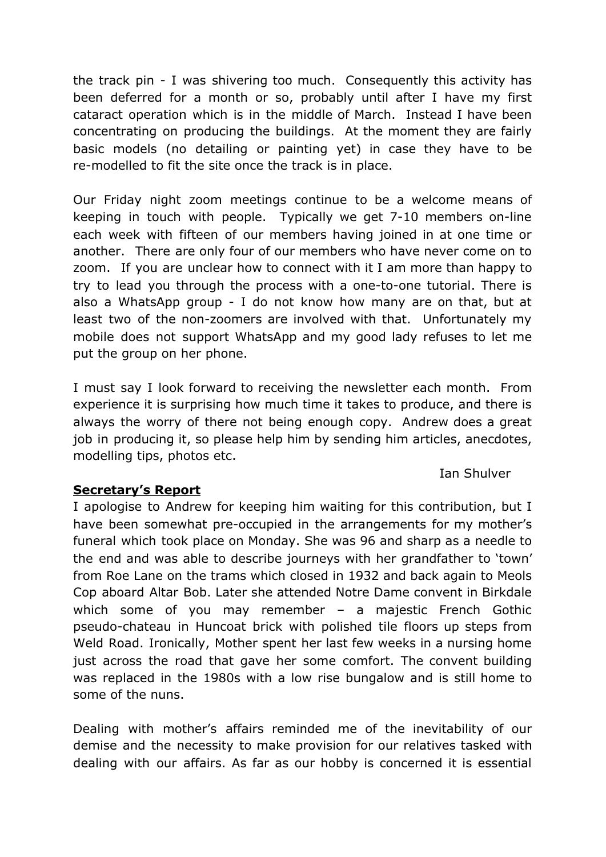the track pin - I was shivering too much. Consequently this activity has been deferred for a month or so, probably until after I have my first cataract operation which is in the middle of March. Instead I have been concentrating on producing the buildings. At the moment they are fairly basic models (no detailing or painting yet) in case they have to be re-modelled to fit the site once the track is in place.

Our Friday night zoom meetings continue to be a welcome means of keeping in touch with people. Typically we get 7-10 members on-line each week with fifteen of our members having joined in at one time or another. There are only four of our members who have never come on to zoom. If you are unclear how to connect with it I am more than happy to try to lead you through the process with a one-to-one tutorial. There is also a WhatsApp group - I do not know how many are on that, but at least two of the non-zoomers are involved with that. Unfortunately my mobile does not support WhatsApp and my good lady refuses to let me put the group on her phone.

I must say I look forward to receiving the newsletter each month. From experience it is surprising how much time it takes to produce, and there is always the worry of there not being enough copy. Andrew does a great job in producing it, so please help him by sending him articles, anecdotes, modelling tips, photos etc.

Ian Shulver

### **Secretary's Report**

I apologise to Andrew for keeping him waiting for this contribution, but I have been somewhat pre-occupied in the arrangements for my mother's funeral which took place on Monday. She was 96 and sharp as a needle to the end and was able to describe journeys with her grandfather to 'town' from Roe Lane on the trams which closed in 1932 and back again to Meols Cop aboard Altar Bob. Later she attended Notre Dame convent in Birkdale which some of you may remember – a majestic French Gothic pseudo-chateau in Huncoat brick with polished tile floors up steps from Weld Road. Ironically, Mother spent her last few weeks in a nursing home just across the road that gave her some comfort. The convent building was replaced in the 1980s with a low rise bungalow and is still home to some of the nuns.

Dealing with mother's affairs reminded me of the inevitability of our demise and the necessity to make provision for our relatives tasked with dealing with our affairs. As far as our hobby is concerned it is essential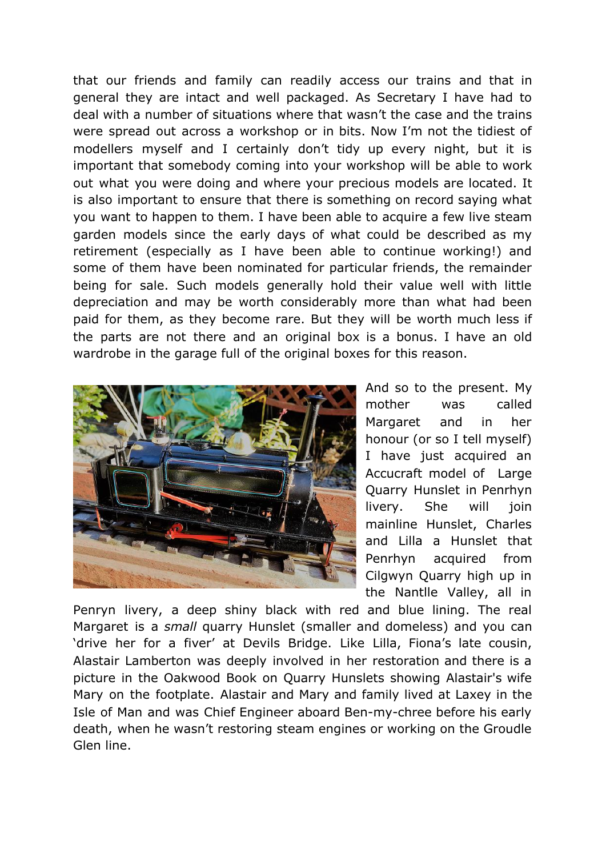that our friends and family can readily access our trains and that in general they are intact and well packaged. As Secretary I have had to deal with a number of situations where that wasn't the case and the trains were spread out across a workshop or in bits. Now I'm not the tidiest of modellers myself and I certainly don't tidy up every night, but it is important that somebody coming into your workshop will be able to work out what you were doing and where your precious models are located. It is also important to ensure that there is something on record saying what you want to happen to them. I have been able to acquire a few live steam garden models since the early days of what could be described as my retirement (especially as I have been able to continue working!) and some of them have been nominated for particular friends, the remainder being for sale. Such models generally hold their value well with little depreciation and may be worth considerably more than what had been paid for them, as they become rare. But they will be worth much less if the parts are not there and an original box is a bonus. I have an old wardrobe in the garage full of the original boxes for this reason.



And so to the present. My mother was called Margaret and in her honour (or so I tell myself) I have just acquired an Accucraft model of Large Quarry Hunslet in Penrhyn livery. She will join mainline Hunslet, Charles and Lilla a Hunslet that Penrhyn acquired from Cilgwyn Quarry high up in the Nantlle Valley, all in

Penryn livery, a deep shiny black with red and blue lining. The real Margaret is a *small* quarry Hunslet (smaller and domeless) and you can 'drive her for a fiver' at Devils Bridge. Like Lilla, Fiona's late cousin, Alastair Lamberton was deeply involved in her restoration and there is a picture in the Oakwood Book on Quarry Hunslets showing Alastair's wife Mary on the footplate. Alastair and Mary and family lived at Laxey in the Isle of Man and was Chief Engineer aboard Ben-my-chree before his early death, when he wasn't restoring steam engines or working on the Groudle Glen line.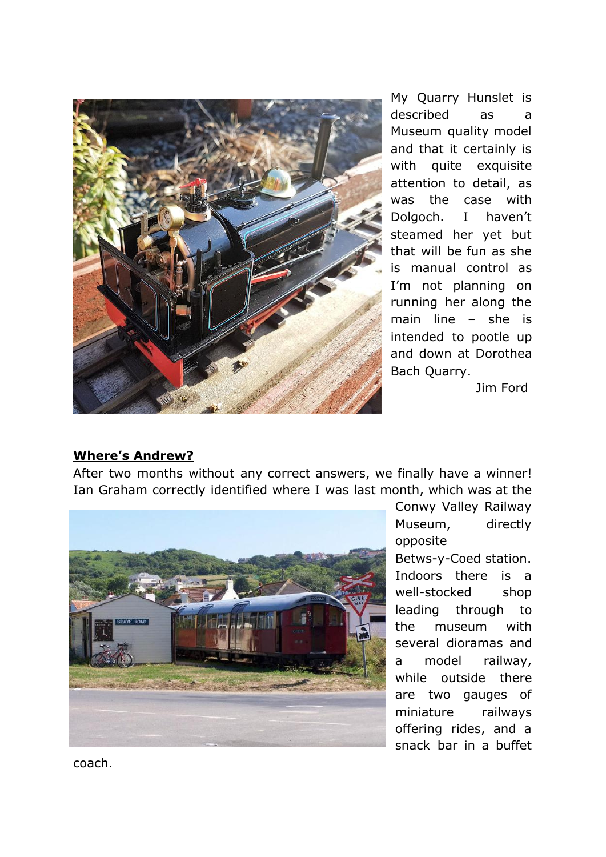

My Quarry Hunslet is described as a Museum quality model and that it certainly is with quite exquisite attention to detail, as was the case with Dolgoch. I haven't steamed her yet but that will be fun as she is manual control as I'm not planning on running her along the main line – she is intended to pootle up and down at Dorothea Bach Quarry.

Jim Ford

#### **Where's Andrew?**

After two months without any correct answers, we finally have a winner! Ian Graham correctly identified where I was last month, which was at the



Conwy Valley Railway Museum, directly opposite Betws-y-Coed station. Indoors there is a well-stocked shop leading through to the museum with several dioramas and a model railway, while outside there are two gauges of miniature railways offering rides, and a snack bar in a buffet

coach.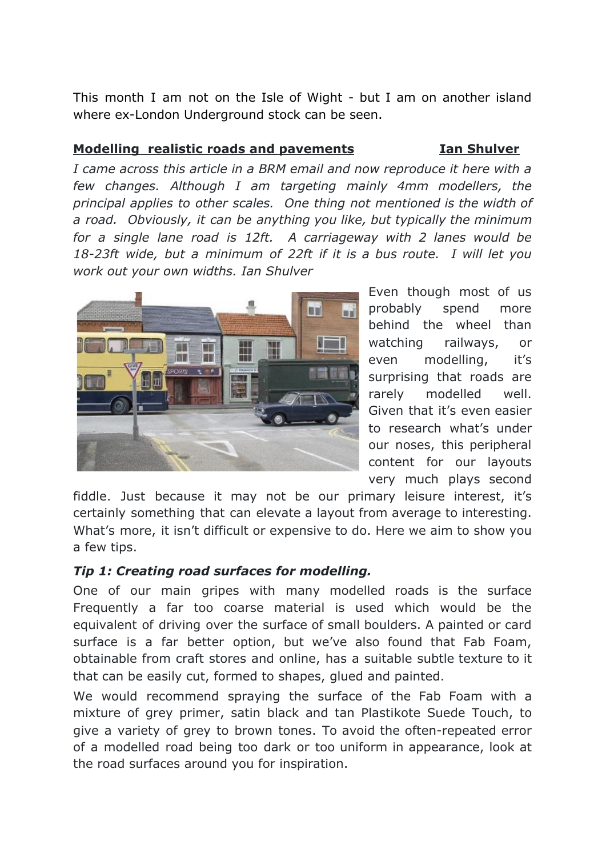This month I am not on the Isle of Wight - but I am on another island where ex-London Underground stock can be seen.

### **Modelling realistic roads and pavements Ian Shulver**

*I came across this article in a BRM email and now reproduce it here with a few changes. Although I am targeting mainly 4mm modellers, the principal applies to other scales. One thing not mentioned is the width of a road. Obviously, it can be anything you like, but typically the minimum for a single lane road is 12ft. A carriageway with 2 lanes would be 18-23ft wide, but a minimum of 22ft if it is a bus route. I will let you work out your own widths. Ian Shulver*



Even though most of us probably spend more behind the wheel than watching railways, or even modelling, it's surprising that roads are rarely modelled well. Given that it's even easier to research what's under our noses, this peripheral content for our layouts very much plays second

fiddle. Just because it may not be our primary leisure interest, it's certainly something that can elevate a layout from average to interesting. What's more, it isn't difficult or expensive to do. Here we aim to show you a few tips.

# *Tip 1: Creating road surfaces for modelling.*

One of our main gripes with many modelled roads is the surface Frequently a far too coarse material is used which would be the equivalent of driving over the surface of small boulders. A painted or card surface is a far better option, but we've also found that Fab Foam, obtainable from craft stores and online, has a suitable subtle texture to it that can be easily cut, formed to shapes, glued and painted.

We would recommend spraying the surface of the Fab Foam with a mixture of grey primer, satin black and tan Plastikote Suede Touch, to give a variety of grey to brown tones. To avoid the often-repeated error of a modelled road being too dark or too uniform in appearance, look at the road surfaces around you for inspiration.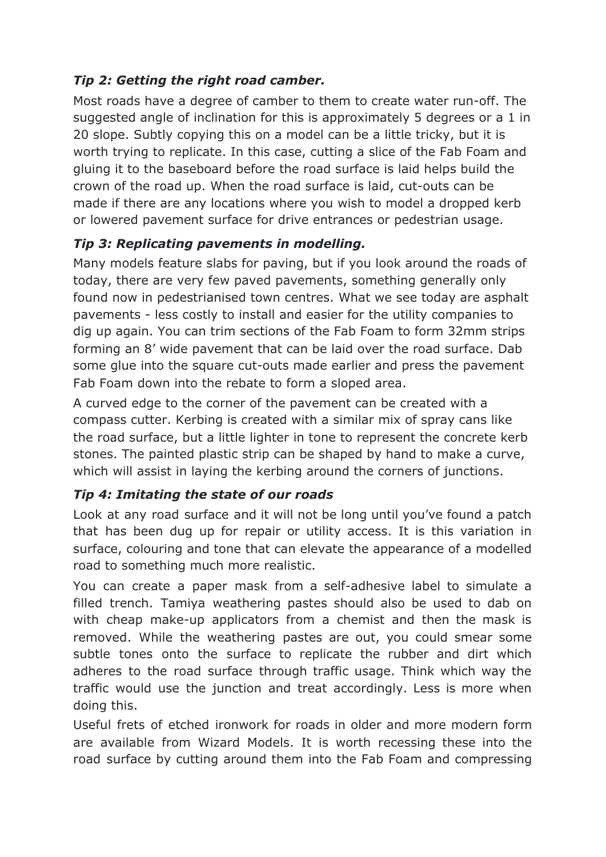# *Tip 2: Getting the right road camber.*

Most roads have a degree of camber to them to create water run-off. The suggested angle of inclination for this is approximately 5 degrees or a 1 in 20 slope. Subtly copying this on a model can be a little tricky, but it is worth trying to replicate. In this case, cutting a slice of the Fab Foam and gluing it to the baseboard before the road surface is laid helps build the crown of the road up. When the road surface is laid, cut-outs can be made if there are any locations where you wish to model a dropped kerb or lowered pavement surface for drive entrances or pedestrian usage.

# *Tip 3: Replicating pavements in modelling.*

Many models feature slabs for paving, but if you look around the roads of today, there are very few paved pavements, something generally only found now in pedestrianised town centres. What we see today are asphalt pavements - less costly to install and easier for the utility companies to dig up again. You can trim sections of the Fab Foam to form 32mm strips forming an 8' wide pavement that can be laid over the road surface. Dab some glue into the square cut-outs made earlier and press the pavement Fab Foam down into the rebate to form a sloped area.

A curved edge to the corner of the pavement can be created with a compass cutter. Kerbing is created with a similar mix of spray cans like the road surface, but a little lighter in tone to represent the concrete kerb stones. The painted plastic strip can be shaped by hand to make a curve, which will assist in laying the kerbing around the corners of junctions.

# *Tip 4: Imitating the state of our roads*

Look at any road surface and it will not be long until you've found a patch that has been dug up for repair or utility access. It is this variation in surface, colouring and tone that can elevate the appearance of a modelled road to something much more realistic.

You can create a paper mask from a self-adhesive label to simulate a filled trench. Tamiya weathering pastes should also be used to dab on with cheap make-up applicators from a chemist and then the mask is removed. While the weathering pastes are out, you could smear some subtle tones onto the surface to replicate the rubber and dirt which adheres to the road surface through traffic usage. Think which way the traffic would use the junction and treat accordingly. Less is more when doing this.

Useful frets of etched ironwork for roads in older and more modern form are available from Wizard Models. It is worth recessing these into the road surface by cutting around them into the Fab Foam and compressing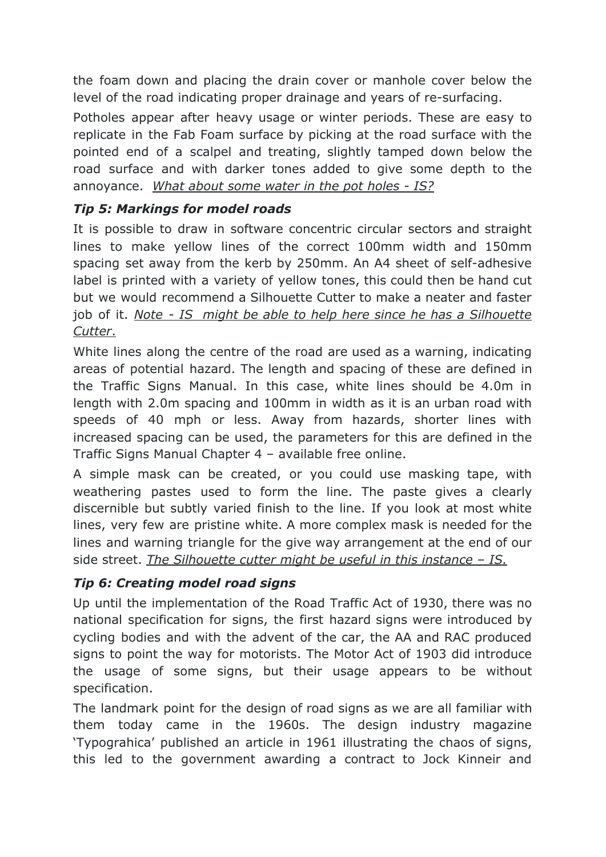the foam down and placing the drain cover or manhole cover below the level of the road indicating proper drainage and years of re-surfacing.

Potholes appear after heavy usage or winter periods. These are easy to replicate in the Fab Foam surface by picking at the road surface with the pointed end of a scalpel and treating, slightly tamped down below the road surface and with darker tones added to give some depth to the annoyance. *What about some water in the pot holes - IS?*

# *Tip 5: Markings for model roads*

It is possible to draw in software concentric circular sectors and straight lines to make yellow lines of the correct 100mm width and 150mm spacing set away from the kerb by 250mm. An A4 sheet of self-adhesive label is printed with a variety of yellow tones, this could then be hand cut but we would recommend a Silhouette Cutter to make a neater and faster job of it. *Note - IS might be able to help here since he has a Silhouette Cutter*.

White lines along the centre of the road are used as a warning, indicating areas of potential hazard. The length and spacing of these are defined in the Traffic Signs Manual. In this case, white lines should be 4.0m in length with 2.0m spacing and 100mm in width as it is an urban road with speeds of 40 mph or less. Away from hazards, shorter lines with increased spacing can be used, the parameters for this are defined in the Traffic Signs Manual Chapter 4 – available free online.

A simple mask can be created, or you could use masking tape, with weathering pastes used to form the line. The paste gives a clearly discernible but subtly varied finish to the line. If you look at most white lines, very few are pristine white. A more complex mask is needed for the lines and warning triangle for the give way arrangement at the end of our side street. *The Silhouette cutter might be useful in this instance – IS.*

# *Tip 6: Creating model road signs*

Up until the implementation of the Road Traffic Act of 1930, there was no national specification for signs, the first hazard signs were introduced by cycling bodies and with the advent of the car, the AA and RAC produced signs to point the way for motorists. The Motor Act of 1903 did introduce the usage of some signs, but their usage appears to be without specification.

The landmark point for the design of road signs as we are all familiar with them today came in the 1960s. The design industry magazine 'Typograhica' published an article in 1961 illustrating the chaos of signs, this led to the government awarding a contract to Jock Kinneir and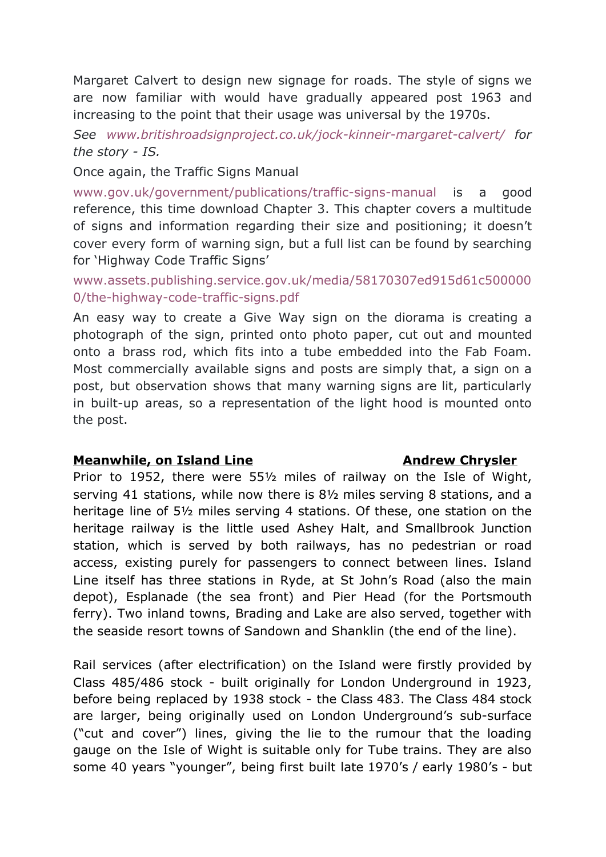Margaret Calvert to design new signage for roads. The style of signs we are now familiar with would have gradually appeared post 1963 and increasing to the point that their usage was universal by the 1970s.

*See [www.britishroadsignproject.co.uk/jock-kinneir-margaret-calvert/](http://www.britishroadsignproject.co.uk/jock-kinneir-margaret-calvert/) for the story - IS.*

Once again, the Traffic Signs Manual

[www.gov.uk/government/publications/traffic-signs-manual](http://www.gov.uk/government/publications/traffic-signs-manual) is a good reference, this time download Chapter 3. This chapter covers a multitude of signs and information regarding their size and positioning; it doesn't cover every form of warning sign, but a full list can be found by searching for 'Highway Code Traffic Signs'

[www.assets.publishing.service.gov.uk/media/58170307ed915d61c500000](http://www.assets.publishing.service.gov.uk/media/58170307ed915d61c5000000/the-highway-code-traffic-signs.pdf) [0/the-highway-code-traffic-signs.pdf](http://www.assets.publishing.service.gov.uk/media/58170307ed915d61c5000000/the-highway-code-traffic-signs.pdf)

An easy way to create a Give Way sign on the diorama is creating a photograph of the sign, printed onto photo paper, cut out and mounted onto a brass rod, which fits into a tube embedded into the Fab Foam. Most commercially available signs and posts are simply that, a sign on a post, but observation shows that many warning signs are lit, particularly in built-up areas, so a representation of the light hood is mounted onto the post.

#### **Meanwhile, on Island Line Andrew Chrysler**

Prior to 1952, there were 55½ miles of railway on the Isle of Wight, serving 41 stations, while now there is 8½ miles serving 8 stations, and a heritage line of 5½ miles serving 4 stations. Of these, one station on the heritage railway is the little used Ashey Halt, and Smallbrook Junction station, which is served by both railways, has no pedestrian or road access, existing purely for passengers to connect between lines. Island Line itself has three stations in Ryde, at St John's Road (also the main depot), Esplanade (the sea front) and Pier Head (for the Portsmouth ferry). Two inland towns, Brading and Lake are also served, together with the seaside resort towns of Sandown and Shanklin (the end of the line).

Rail services (after electrification) on the Island were firstly provided by Class 485/486 stock - built originally for London Underground in 1923, before being replaced by 1938 stock - the Class 483. The Class 484 stock are larger, being originally used on London Underground's sub-surface ("cut and cover") lines, giving the lie to the rumour that the loading gauge on the Isle of Wight is suitable only for Tube trains. They are also some 40 years "younger", being first built late 1970's / early 1980's - but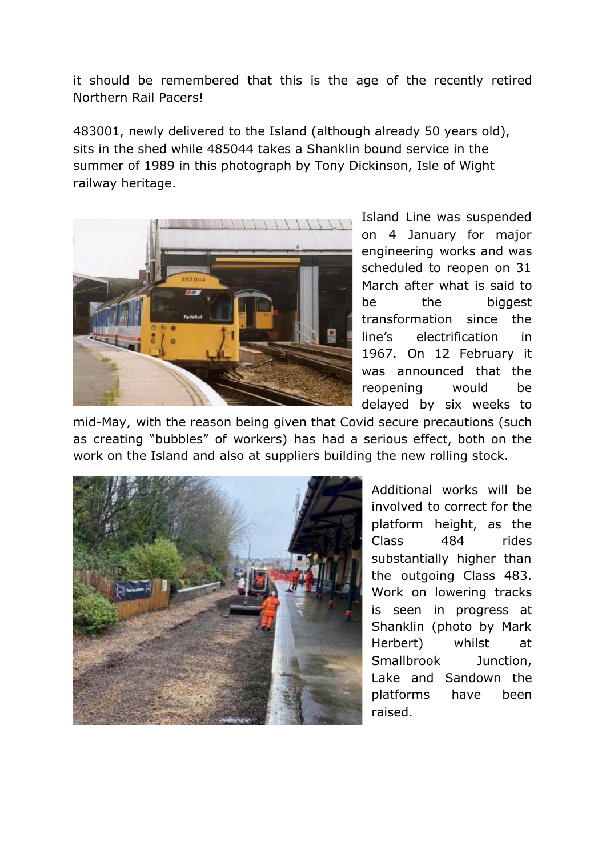it should be remembered that this is the age of the recently retired Northern Rail Pacers!

483001, newly delivered to the Island (although already 50 years old), sits in the shed while 485044 takes a Shanklin bound service in the summer of 1989 in this photograph by Tony Dickinson, Isle of Wight railway heritage.



Island Line was suspended on 4 January for major engineering works and was scheduled to reopen on 31 March after what is said to be the biggest transformation since the line's electrification in 1967. On 12 February it was announced that the reopening would be delayed by six weeks to

mid-May, with the reason being given that Covid secure precautions (such as creating "bubbles" of workers) has had a serious effect, both on the work on the Island and also at suppliers building the new rolling stock.



Additional works will be involved to correct for the platform height, as the Class 484 rides substantially higher than the outgoing Class 483. Work on lowering tracks is seen in progress at Shanklin (photo by Mark Herbert) whilst at Smallbrook Junction, Lake and Sandown the platforms have been raised.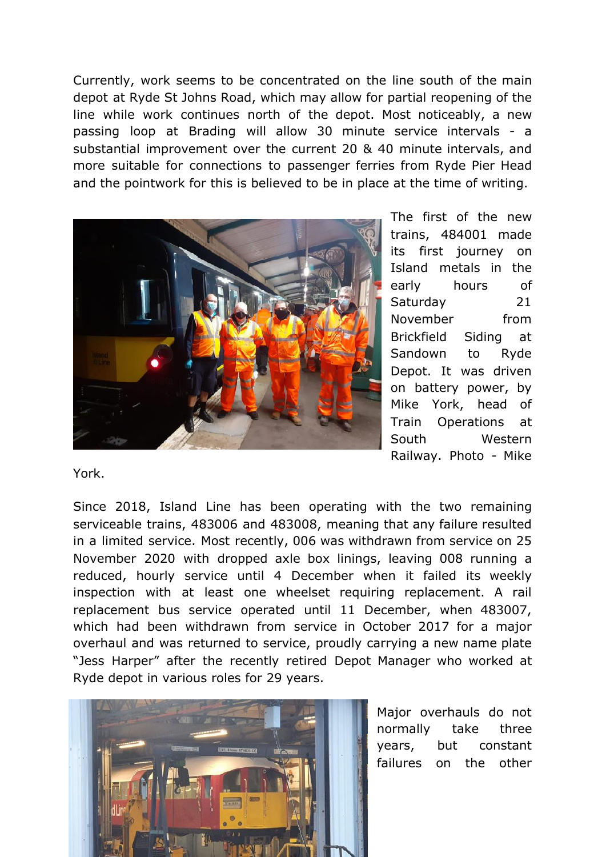Currently, work seems to be concentrated on the line south of the main depot at Ryde St Johns Road, which may allow for partial reopening of the line while work continues north of the depot. Most noticeably, a new passing loop at Brading will allow 30 minute service intervals - a substantial improvement over the current 20 & 40 minute intervals, and more suitable for connections to passenger ferries from Ryde Pier Head and the pointwork for this is believed to be in place at the time of writing.



The first of the new trains, 484001 made its first journey on Island metals in the early hours of Saturday 21 November from Brickfield Siding at Sandown to Ryde Depot. It was driven on battery power, by Mike York, head of Train Operations at South Western Railway. Photo - Mike

York.

Since 2018, Island Line has been operating with the two remaining serviceable trains, 483006 and 483008, meaning that any failure resulted in a limited service. Most recently, 006 was withdrawn from service on 25 November 2020 with dropped axle box linings, leaving 008 running a reduced, hourly service until 4 December when it failed its weekly inspection with at least one wheelset requiring replacement. A rail replacement bus service operated until 11 December, when 483007, which had been withdrawn from service in October 2017 for a major overhaul and was returned to service, proudly carrying a new name plate "Jess Harper" after the recently retired Depot Manager who worked at Ryde depot in various roles for 29 years.



Major overhauls do not normally take three years, but constant failures on the other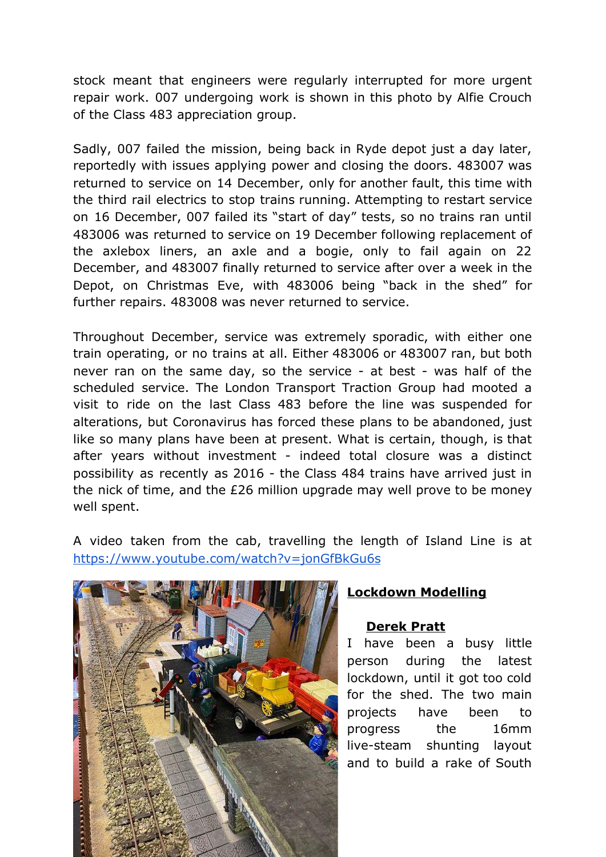stock meant that engineers were regularly interrupted for more urgent repair work. 007 undergoing work is shown in this photo by Alfie Crouch of the Class 483 appreciation group.

Sadly, 007 failed the mission, being back in Ryde depot just a day later, reportedly with issues applying power and closing the doors. 483007 was returned to service on 14 December, only for another fault, this time with the third rail electrics to stop trains running. Attempting to restart service on 16 December, 007 failed its "start of day" tests, so no trains ran until 483006 was returned to service on 19 December following replacement of the axlebox liners, an axle and a bogie, only to fail again on 22 December, and 483007 finally returned to service after over a week in the Depot, on Christmas Eve, with 483006 being "back in the shed" for further repairs. 483008 was never returned to service.

Throughout December, service was extremely sporadic, with either one train operating, or no trains at all. Either 483006 or 483007 ran, but both never ran on the same day, so the service - at best - was half of the scheduled service. The London Transport Traction Group had mooted a visit to ride on the last Class 483 before the line was suspended for alterations, but Coronavirus has forced these plans to be abandoned, just like so many plans have been at present. What is certain, though, is that after years without investment - indeed total closure was a distinct possibility as recently as 2016 - the Class 484 trains have arrived just in the nick of time, and the £26 million upgrade may well prove to be money well spent.

A video taken from the cab, travelling the length of Island Line is at <https://www.youtube.com/watch?v=jonGfBkGu6s>



### **Lockdown Modelling**

### **Derek Pratt**

I have been a busy little person during the latest lockdown, until it got too cold for the shed. The two main projects have been to progress the 16mm live-steam shunting layout and to build a rake of South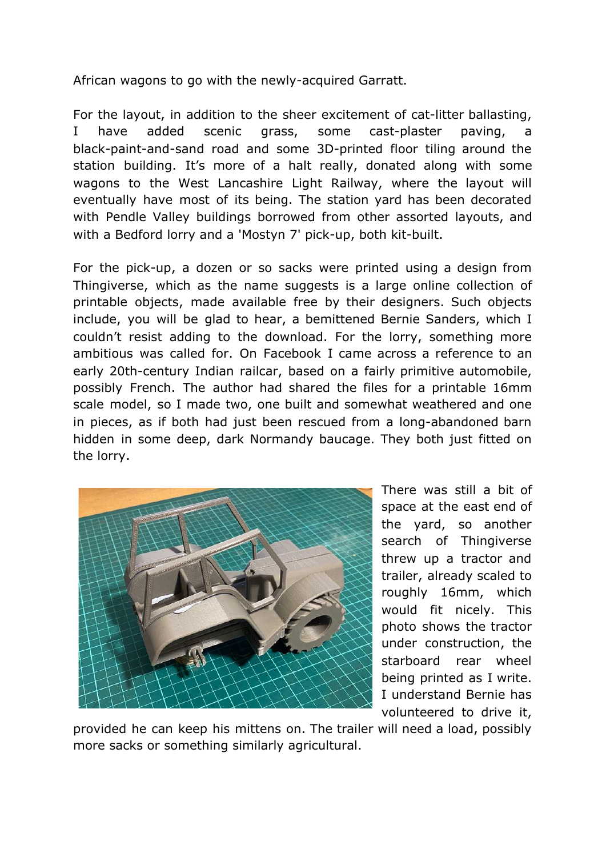African wagons to go with the newly-acquired Garratt.

For the layout, in addition to the sheer excitement of cat-litter ballasting, I have added scenic grass, some cast-plaster paving, a black-paint-and-sand road and some 3D-printed floor tiling around the station building. It's more of a halt really, donated along with some wagons to the West Lancashire Light Railway, where the layout will eventually have most of its being. The station yard has been decorated with Pendle Valley buildings borrowed from other assorted layouts, and with a Bedford lorry and a 'Mostyn 7' pick-up, both kit-built.

For the pick-up, a dozen or so sacks were printed using a design from Thingiverse, which as the name suggests is a large online collection of printable objects, made available free by their designers. Such objects include, you will be glad to hear, a bemittened Bernie Sanders, which I couldn't resist adding to the download. For the lorry, something more ambitious was called for. On Facebook I came across a reference to an early 20th-century Indian railcar, based on a fairly primitive automobile, possibly French. The author had shared the files for a printable 16mm scale model, so I made two, one built and somewhat weathered and one in pieces, as if both had just been rescued from a long-abandoned barn hidden in some deep, dark Normandy baucage. They both just fitted on the lorry.



There was still a bit of space at the east end of the yard, so another search of Thingiverse threw up a tractor and trailer, already scaled to roughly 16mm, which would fit nicely. This photo shows the tractor under construction, the starboard rear wheel being printed as I write. I understand Bernie has volunteered to drive it,

provided he can keep his mittens on. The trailer will need a load, possibly more sacks or something similarly agricultural.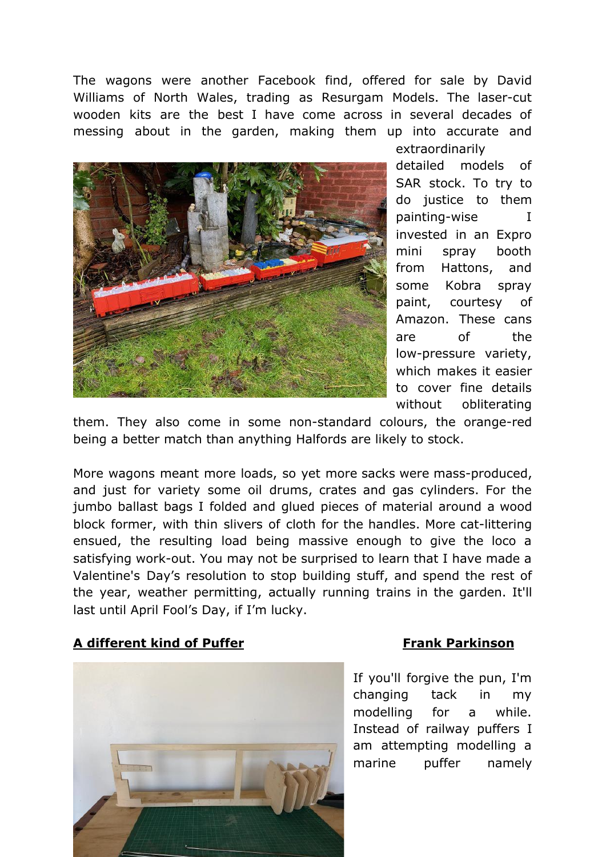The wagons were another Facebook find, offered for sale by David Williams of North Wales, trading as Resurgam Models. The laser-cut wooden kits are the best I have come across in several decades of messing about in the garden, making them up into accurate and



extraordinarily detailed models of SAR stock. To try to do justice to them painting-wise I invested in an Expro mini spray booth from Hattons, and some Kobra spray paint, courtesy of Amazon. These cans are of the low-pressure variety, which makes it easier to cover fine details without obliterating

them. They also come in some non-standard colours, the orange-red being a better match than anything Halfords are likely to stock.

More wagons meant more loads, so yet more sacks were mass-produced, and just for variety some oil drums, crates and gas cylinders. For the jumbo ballast bags I folded and glued pieces of material around a wood block former, with thin slivers of cloth for the handles. More cat-littering ensued, the resulting load being massive enough to give the loco a satisfying work-out. You may not be surprised to learn that I have made a Valentine's Day's resolution to stop building stuff, and spend the rest of the year, weather permitting, actually running trains in the garden. It'll last until April Fool's Day, if I'm lucky.

#### **A different kind of Puffer Frank Parkinson**



If you'll forgive the pun, I'm changing tack in my modelling for a while. Instead of railway puffers I am attempting modelling a marine puffer namely